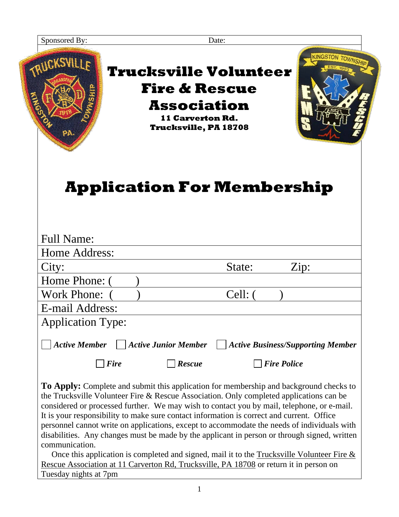| Sponsored By:                         |                                                                                                                                           | Date:   |                                          |
|---------------------------------------|-------------------------------------------------------------------------------------------------------------------------------------------|---------|------------------------------------------|
| TRUCKSVILLE<br>PA.                    | <b>Trucksville Volunteer</b><br><b>Fire &amp; Rescue</b><br><b>Association</b><br><b>11 Carverton Rd.</b><br><b>Trucksville, PA 18708</b> |         | <b>KINGSTON TOWNSHIP</b>                 |
| <b>Full Name:</b><br>Home Address:    | <b>Application For Membership</b>                                                                                                         |         |                                          |
|                                       |                                                                                                                                           |         |                                          |
| City:                                 |                                                                                                                                           | State:  | Zip:                                     |
| Home Phone: (                         |                                                                                                                                           |         |                                          |
| <b>Work Phone:</b><br>E-mail Address: |                                                                                                                                           | Cell: ( |                                          |
|                                       |                                                                                                                                           |         |                                          |
| <b>Application Type:</b>              |                                                                                                                                           |         |                                          |
| <b>Active Member</b>                  | <b>Active Junior Member</b>                                                                                                               |         | <b>Active Business/Supporting Member</b> |
|                                       |                                                                                                                                           |         |                                          |
| <b>Fire</b>                           | <b>Rescue</b>                                                                                                                             |         | <b>Fire Police</b>                       |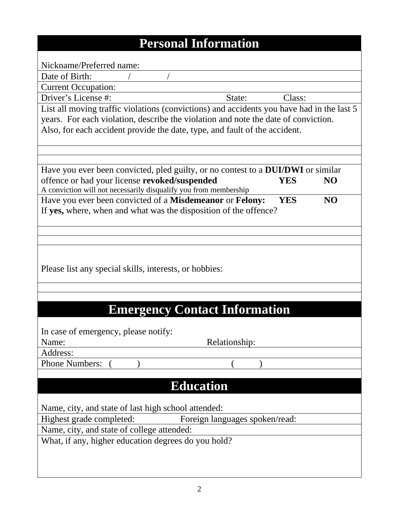| <b>Personal Information</b>                                                               |                                |            |                |
|-------------------------------------------------------------------------------------------|--------------------------------|------------|----------------|
|                                                                                           |                                |            |                |
| Nickname/Preferred name:                                                                  |                                |            |                |
| Date of Birth:                                                                            |                                |            |                |
| <b>Current Occupation:</b>                                                                |                                |            |                |
| Driver's License #:                                                                       | State:                         | Class:     |                |
| List all moving traffic violations (convictions) and accidents you have had in the last 5 |                                |            |                |
| years. For each violation, describe the violation and note the date of conviction.        |                                |            |                |
| Also, for each accident provide the date, type, and fault of the accident.                |                                |            |                |
|                                                                                           |                                |            |                |
|                                                                                           |                                |            |                |
| Have you ever been convicted, pled guilty, or no contest to a <b>DUI/DWI</b> or similar   |                                |            |                |
| offence or had your license revoked/suspended                                             |                                | YES        | NO             |
| A conviction will not necessarily disqualify you from membership                          |                                |            |                |
| Have you ever been convicted of a Misdemeanor or Felony:                                  |                                | <b>YES</b> | N <sub>O</sub> |
| If yes, where, when and what was the disposition of the offence?                          |                                |            |                |
|                                                                                           |                                |            |                |
|                                                                                           |                                |            |                |
|                                                                                           |                                |            |                |
|                                                                                           |                                |            |                |
|                                                                                           |                                |            |                |
| Please list any special skills, interests, or hobbies:                                    |                                |            |                |
|                                                                                           |                                |            |                |
|                                                                                           |                                |            |                |
| <b>Emergency Contact Information</b>                                                      |                                |            |                |
|                                                                                           |                                |            |                |
| In case of emergency, please notify:                                                      |                                |            |                |
| Name:                                                                                     | Relationship:                  |            |                |
| Address:                                                                                  |                                |            |                |
| <b>Phone Numbers:</b>                                                                     |                                |            |                |
|                                                                                           |                                |            |                |
| <b>Education</b>                                                                          |                                |            |                |
|                                                                                           |                                |            |                |
| Name, city, and state of last high school attended:                                       |                                |            |                |
| Highest grade completed:                                                                  | Foreign languages spoken/read: |            |                |
| Name, city, and state of college attended:                                                |                                |            |                |
| What, if any, higher education degrees do you hold?                                       |                                |            |                |
|                                                                                           |                                |            |                |
|                                                                                           |                                |            |                |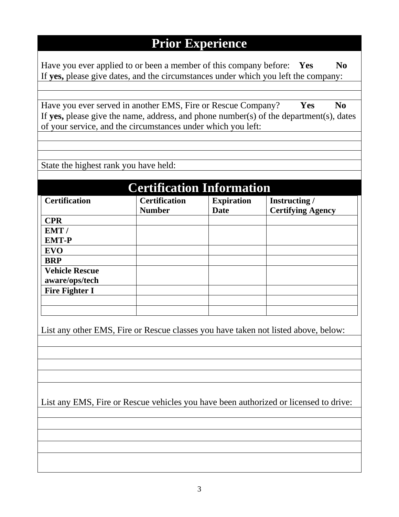## **Prior Experience**

Have you ever applied to or been a member of this company before: **Yes** No If **yes,** please give dates, and the circumstances under which you left the company:

Have you ever served in another EMS, Fire or Rescue Company? **Yes No** If **yes,** please give the name, address, and phone number(s) of the department(s), dates of your service, and the circumstances under which you left:

State the highest rank you have held:

| <b>Certification Information</b> |                                       |                           |                                          |
|----------------------------------|---------------------------------------|---------------------------|------------------------------------------|
| <b>Certification</b>             | <b>Certification</b><br><b>Number</b> | <b>Expiration</b><br>Date | Instructing/<br><b>Certifying Agency</b> |
| <b>CPR</b>                       |                                       |                           |                                          |
| EMT/                             |                                       |                           |                                          |
| <b>EMT-P</b>                     |                                       |                           |                                          |
| <b>EVO</b>                       |                                       |                           |                                          |
| <b>BRP</b>                       |                                       |                           |                                          |
| <b>Vehicle Rescue</b>            |                                       |                           |                                          |
| aware/ops/tech                   |                                       |                           |                                          |
| <b>Fire Fighter I</b>            |                                       |                           |                                          |
|                                  |                                       |                           |                                          |
|                                  |                                       |                           |                                          |

List any other EMS, Fire or Rescue classes you have taken not listed above, below:

List any EMS, Fire or Rescue vehicles you have been authorized or licensed to drive: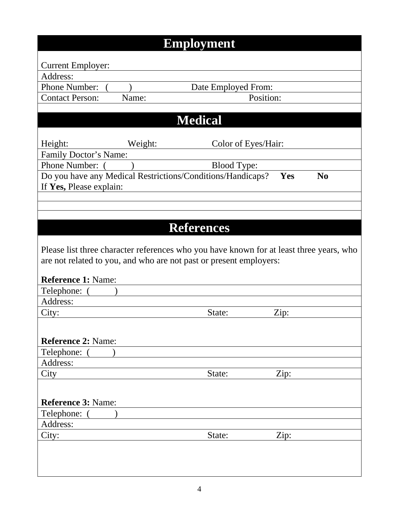|                           | <b>Employment</b>                                                  |                     |                                                                                         |
|---------------------------|--------------------------------------------------------------------|---------------------|-----------------------------------------------------------------------------------------|
| <b>Current Employer:</b>  |                                                                    |                     |                                                                                         |
| Address:                  |                                                                    |                     |                                                                                         |
| <b>Phone Number:</b>      |                                                                    | Date Employed From: |                                                                                         |
| <b>Contact Person:</b>    | Name:                                                              | Position:           |                                                                                         |
|                           |                                                                    |                     |                                                                                         |
|                           | <b>Medical</b>                                                     |                     |                                                                                         |
| Height:                   | Weight:                                                            | Color of Eyes/Hair: |                                                                                         |
| Family Doctor's Name:     |                                                                    |                     |                                                                                         |
| Phone Number: (           |                                                                    | <b>Blood Type:</b>  |                                                                                         |
|                           | Do you have any Medical Restrictions/Conditions/Handicaps?         |                     | $\bf No$<br>Yes                                                                         |
| If Yes, Please explain:   |                                                                    |                     |                                                                                         |
|                           |                                                                    |                     |                                                                                         |
|                           |                                                                    |                     |                                                                                         |
|                           |                                                                    |                     |                                                                                         |
|                           | <b>References</b>                                                  |                     |                                                                                         |
|                           |                                                                    |                     | Please list three character references who you have known for at least three years, who |
|                           | are not related to you, and who are not past or present employers: |                     |                                                                                         |
| <b>Reference 1: Name:</b> |                                                                    |                     |                                                                                         |
| Telephone:                |                                                                    |                     |                                                                                         |
| Address:                  |                                                                    |                     |                                                                                         |
| City:                     |                                                                    | State:              | Zip:                                                                                    |
|                           |                                                                    |                     |                                                                                         |
|                           |                                                                    |                     |                                                                                         |
| <b>Reference 2: Name:</b> |                                                                    |                     |                                                                                         |
| Telephone:                |                                                                    |                     |                                                                                         |
| Address:                  |                                                                    |                     |                                                                                         |
| City                      |                                                                    | State:              | Zip:                                                                                    |
|                           |                                                                    |                     |                                                                                         |
|                           |                                                                    |                     |                                                                                         |
| <b>Reference 3: Name:</b> |                                                                    |                     |                                                                                         |
| Telephone:                |                                                                    |                     |                                                                                         |
| Address:                  |                                                                    |                     |                                                                                         |
| City:                     |                                                                    | State:              | Zip:                                                                                    |
|                           |                                                                    |                     |                                                                                         |
|                           |                                                                    |                     |                                                                                         |
|                           |                                                                    |                     |                                                                                         |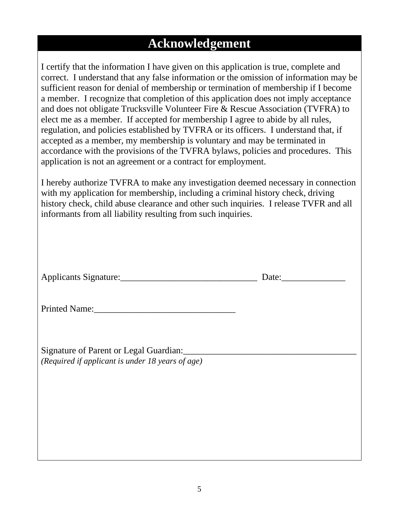## **Acknowledgement**

I certify that the information I have given on this application is true, complete and correct. I understand that any false information or the omission of information may be sufficient reason for denial of membership or termination of membership if I become a member. I recognize that completion of this application does not imply acceptance and does not obligate Trucksville Volunteer Fire & Rescue Association (TVFRA) to elect me as a member. If accepted for membership I agree to abide by all rules, regulation, and policies established by TVFRA or its officers. I understand that, if accepted as a member, my membership is voluntary and may be terminated in accordance with the provisions of the TVFRA bylaws, policies and procedures. This application is not an agreement or a contract for employment.

I hereby authorize TVFRA to make any investigation deemed necessary in connection with my application for membership, including a criminal history check, driving history check, child abuse clearance and other such inquiries. I release TVFR and all informants from all liability resulting from such inquiries.

| Applicants Signature: |  |
|-----------------------|--|

Printed Name:

Signature of Parent or Legal Guardian: *(Required if applicant is under 18 years of age)*